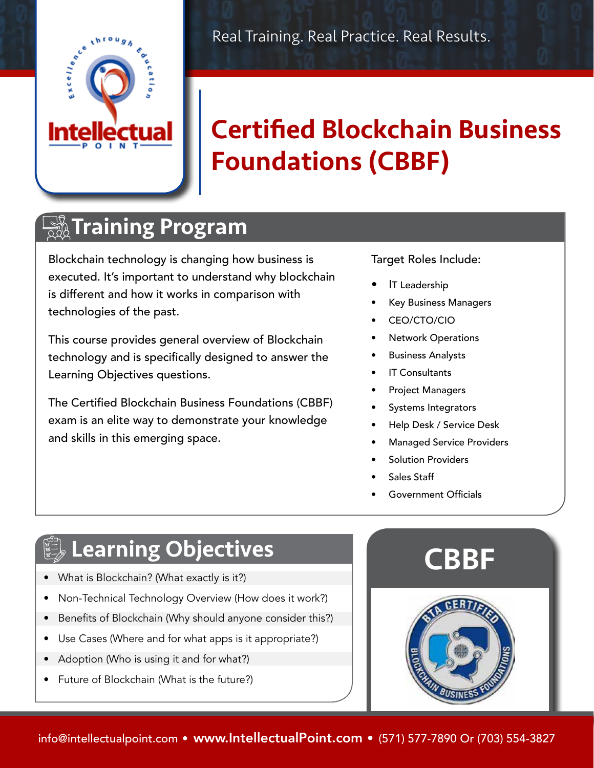

# Certified Blockchain Business Foundations (CBBF)

#### $\frac{13}{222}$ Training Program

Blockchain technology is changing how business is executed. It's important to understand why blockchain is different and how it works in comparison with technologies of the past.

This course provides general overview of Blockchain technology and is specifically designed to answer the Learning Objectives questions.

The Certified Blockchain Business Foundations (CBBF) exam is an elite way to demonstrate your knowledge and skills in this emerging space.

#### Target Roles Include:

- IT Leadership
- Key Business Managers
- CEO/CTO/CIO
- Network Operations
- Business Analysts
- **IT Consultants**
- Project Managers
- Systems Integrators
- Help Desk / Service Desk
- Managed Service Providers
- Solution Providers
- Sales Staff
- Government Officials

### $\mathbb Q$  Learning Objectives

- What is Blockchain? (What exactly is it?)
- Non-Technical Technology Overview (How does it work?)
- Benefits of Blockchain (Why should anyone consider this?)
- Use Cases (Where and for what apps is it appropriate?)
- Adoption (Who is using it and for what?)
- Future of Blockchain (What is the future?)